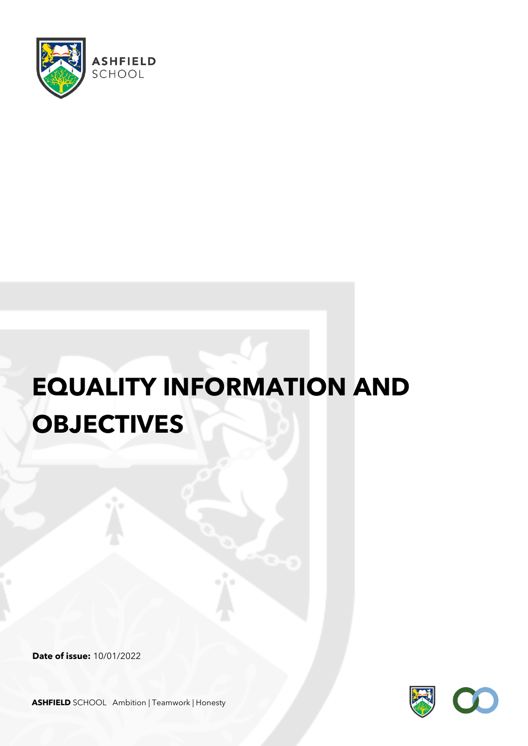

# **EQUALITY INFORMATION AND OBJECTIVES**

**Date of issue:** 10/01/2022



**ASHFIELD** SCHOOL Ambition | Teamwork | Honesty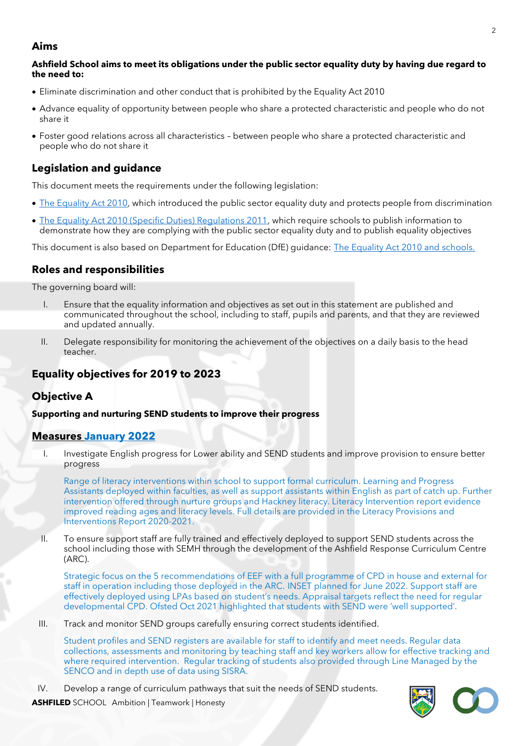## **Aims**

#### **Ashfield School aims to meet its obligations under the public sector equality duty by having due regard to the need to:**

- Eliminate discrimination and other conduct that is prohibited by the Equality Act 2010
- Advance equality of opportunity between people who share a protected characteristic and people who do not share it
- Foster good relations across all characteristics between people who share a protected characteristic and people who do not share it

## **Legislation and guidance**

This document meets the requirements under the following legislation:

- [The Equality Act 2010,](http://www.legislation.gov.uk/ukpga/2010/15/contents) which introduced the public sector equality duty and protects people from discrimination
- [The Equality Act 2010 \(Specific Duties\) Regulations 2011,](http://www.legislation.gov.uk/uksi/2011/2260/contents/made) which require schools to publish information to demonstrate how they are complying with the public sector equality duty and to publish equality objectives

This document is also based on Department for Education (DfE) guidance: [The Equality Act 2010 and schools.](https://www.gov.uk/government/uploads/system/uploads/attachment_data/file/315587/Equality_Act_Advice_Final.pdf) 

## **Roles and responsibilities**

The governing board will:

- I. Ensure that the equality information and objectives as set out in this statement are published and communicated throughout the school, including to staff, pupils and parents, and that they are reviewed and updated annually.
- II. Delegate responsibility for monitoring the achievement of the objectives on a daily basis to the head teacher.

# **Equality objectives for 2019 to 2023**

# **Objective A**

### **Supporting and nurturing SEND students to improve their progress**

### **Measures January 2022**

I. Investigate English progress for Lower ability and SEND students and improve provision to ensure better progress

Range of literacy interventions within school to support formal curriculum. Learning and Progress Assistants deployed within faculties, as well as support assistants within English as part of catch up. Further intervention offered through nurture groups and Hackney literacy. Literacy Intervention report evidence improved reading ages and literacy levels. Full details are provided in the Literacy Provisions and Interventions Report 2020-2021.

II. To ensure support staff are fully trained and effectively deployed to support SEND students across the school including those with SEMH through the development of the Ashfield Response Curriculum Centre (ARC).

Strategic focus on the 5 recommendations of EEF with a full programme of CPD in house and external for staff in operation including those deployed in the ARC. INSET planned for June 2022. Support staff are effectively deployed using LPAs based on student's needs. Appraisal targets reflect the need for regular developmental CPD. Ofsted Oct 2021 highlighted that students with SEND were 'well supported'.

III. Track and monitor SEND groups carefully ensuring correct students identified.

Student profiles and SEND registers are available for staff to identify and meet needs. Regular data collections, assessments and monitoring by teaching staff and key workers allow for effective tracking and where required intervention. Regular tracking of students also provided through Line Managed by the SENCO and in depth use of data using SISRA.

IV. Develop a range of curriculum pathways that suit the needs of SEND students.



| <b>ASHFILED</b> SCHOOL Ambition   Teamwork   Honesty |
|------------------------------------------------------|
|                                                      |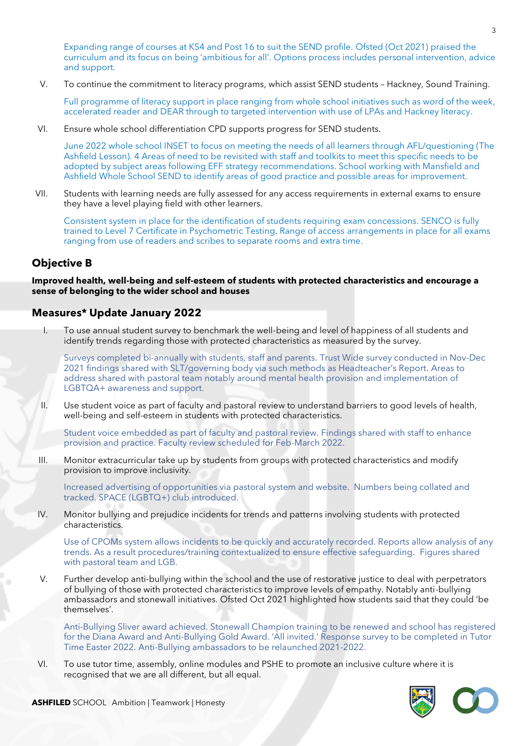Expanding range of courses at KS4 and Post 16 to suit the SEND profile. Ofsted (Oct 2021) praised the curriculum and its focus on being 'ambitious for all'. Options process includes personal intervention, advice and support.

V. To continue the commitment to literacy programs, which assist SEND students – Hackney, Sound Training.

Full programme of literacy support in place ranging from whole school initiatives such as word of the week, accelerated reader and DEAR through to targeted intervention with use of LPAs and Hackney literacy.

VI. Ensure whole school differentiation CPD supports progress for SEND students.

June 2022 whole school INSET to focus on meeting the needs of all learners through AFL/questioning (The Ashfield Lesson). 4 Areas of need to be revisited with staff and toolkits to meet this specific needs to be adopted by subject areas following EFF strategy recommendations. School working with Mansfield and Ashfield Whole School SEND to identify areas of good practice and possible areas for improvement.

VII. Students with learning needs are fully assessed for any access requirements in external exams to ensure they have a level playing field with other learners.

Consistent system in place for the identification of students requiring exam concessions. SENCO is fully trained to Level 7 Certificate in Psychometric Testing. Range of access arrangements in place for all exams ranging from use of readers and scribes to separate rooms and extra time.

## **Objective B**

**Improved health, well-being and self-esteem of students with protected characteristics and encourage a sense of belonging to the wider school and houses**

## **Measures\* Update January 2022**

I. To use annual student survey to benchmark the well-being and level of happiness of all students and identify trends regarding those with protected characteristics as measured by the survey.

Surveys completed bi-annually with students, staff and parents. Trust Wide survey conducted in Nov-Dec 2021 findings shared with SLT/governing body via such methods as Headteacher's Report. Areas to address shared with pastoral team notably around mental health provision and implementation of LGBTQA+ awareness and support.

II. Use student voice as part of faculty and pastoral review to understand barriers to good levels of health, well-being and self-esteem in students with protected characteristics.

Student voice embedded as part of faculty and pastoral review. Findings shared with staff to enhance provision and practice. Faculty review scheduled for Feb-March 2022.

III. Monitor extracurricular take up by students from groups with protected characteristics and modify provision to improve inclusivity.

Increased advertising of opportunities via pastoral system and website. Numbers being collated and tracked. SPACE (LGBTQ+) club introduced.

IV. Monitor bullying and prejudice incidents for trends and patterns involving students with protected characteristics.

Use of CPOMs system allows incidents to be quickly and accurately recorded. Reports allow analysis of any trends. As a result procedures/training contextualized to ensure effective safeguarding. Figures shared with pastoral team and LGB.

V. Further develop anti-bullying within the school and the use of restorative justice to deal with perpetrators of bullying of those with protected characteristics to improve levels of empathy. Notably anti-bullying ambassadors and stonewall initiatives. Ofsted Oct 2021 highlighted how students said that they could 'be themselves'.

Anti-Bullying Sliver award achieved. Stonewall Champion training to be renewed and school has registered for the Diana Award and Anti-Bullying Gold Award. 'All invited.' Response survey to be completed in Tutor Time Easter 2022. Anti-Bullying ambassadors to be relaunched 2021-2022.

VI. To use tutor time, assembly, online modules and PSHE to promote an inclusive culture where it is recognised that we are all different, but all equal.